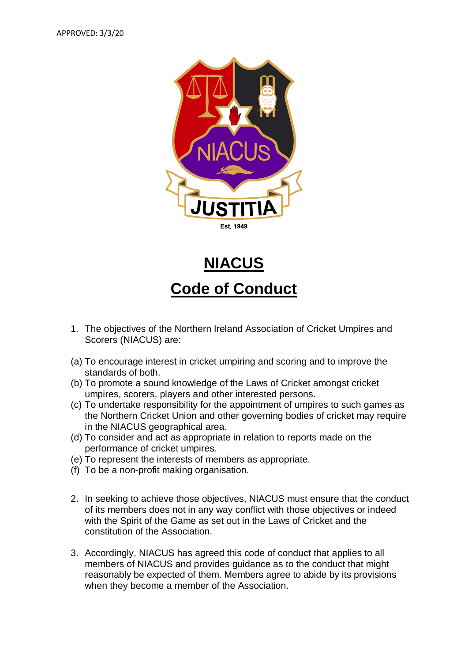

**NIACUS**

## **Code of Conduct**

- 1. The objectives of the Northern Ireland Association of Cricket Umpires and Scorers (NIACUS) are:
- (a) To encourage interest in cricket umpiring and scoring and to improve the standards of both.
- (b) To promote a sound knowledge of the Laws of Cricket amongst cricket umpires, scorers, players and other interested persons.
- (c) To undertake responsibility for the appointment of umpires to such games as the Northern Cricket Union and other governing bodies of cricket may require in the NIACUS geographical area.
- (d) To consider and act as appropriate in relation to reports made on the performance of cricket umpires.
- (e) To represent the interests of members as appropriate.
- (f) To be a non-profit making organisation.
- 2. In seeking to achieve those objectives, NIACUS must ensure that the conduct of its members does not in any way conflict with those objectives or indeed with the Spirit of the Game as set out in the Laws of Cricket and the constitution of the Association.
- 3. Accordingly, NIACUS has agreed this code of conduct that applies to all members of NIACUS and provides guidance as to the conduct that might reasonably be expected of them. Members agree to abide by its provisions when they become a member of the Association.